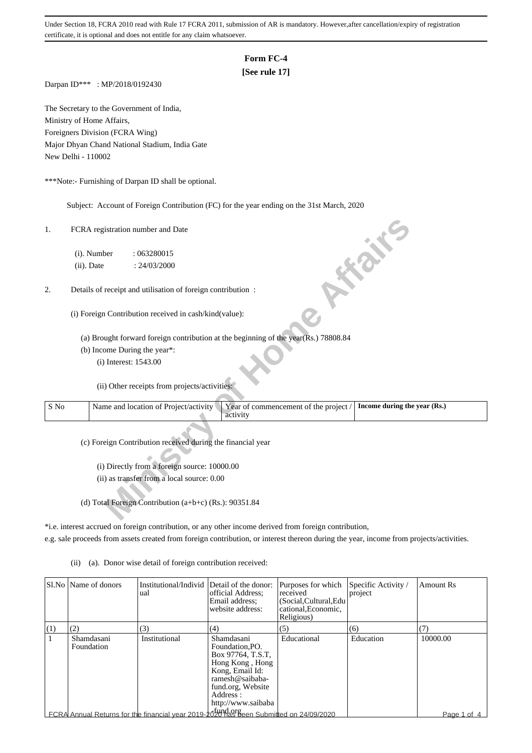# **Form FC-4**

## **[See rule 17]**

Darpan ID\*\*\* : MP/2018/0192430

The Secretary to the Government of India, Ministry of Home Affairs, Foreigners Division (FCRA Wing) Major Dhyan Chand National Stadium, India Gate New Delhi - 110002

\*\*\*Note:- Furnishing of Darpan ID shall be optional.

Subject: Account of Foreign Contribution (FC) for the year ending on the 31st March, 2020

### 2. Details of receipt and utilisation of foreign contribution :

| 1.   | FCRA registration number and Date                                                                                          |
|------|----------------------------------------------------------------------------------------------------------------------------|
|      | (i). Number<br>: 063280015                                                                                                 |
|      | <b>FORE</b><br>(ii). Date<br>: 24/03/2000                                                                                  |
| 2.   | Details of receipt and utilisation of foreign contribution :                                                               |
|      | (i) Foreign Contribution received in cash/kind(value):                                                                     |
|      | (a) Brought forward foreign contribution at the beginning of the year(Rs.) 78808.84                                        |
|      | (b) Income During the year*:                                                                                               |
|      | (i) Interest: 1543.00                                                                                                      |
|      | (ii) Other receipts from projects/activities:                                                                              |
| S No | Name and location of Project/activity<br>Year of commencement of the project /<br>Income during the year (Rs.)<br>activity |
|      | (c) Foreign Contribution received during the financial year                                                                |
|      | (i) Directly from a foreign source: 10000.00                                                                               |
|      | (ii) as transfer from a local source: 0.00                                                                                 |
|      |                                                                                                                            |
|      | (d) Total Foreign Contribution (a+b+c) (Rs.): 90351.84                                                                     |

\*i.e. interest accrued on foreign contribution, or any other income derived from foreign contribution,

e.g. sale proceeds from assets created from foreign contribution, or interest thereon during the year, income from projects/activities.

(ii) (a). Donor wise detail of foreign contribution received:

|     | SLNo Name of donors      | Institutional/Individ Detail of the donor:<br>ual                                                          | official Address:<br>Email address:<br>website address:                                                                                                            | Purposes for which<br>received<br>(Social.Cultural.Edu<br>cational, Economic,<br>Religious) | Specific Activity /<br>project | <b>Amount Rs</b> |
|-----|--------------------------|------------------------------------------------------------------------------------------------------------|--------------------------------------------------------------------------------------------------------------------------------------------------------------------|---------------------------------------------------------------------------------------------|--------------------------------|------------------|
| (1) | (2)                      | (3)                                                                                                        | (4)                                                                                                                                                                | (5)                                                                                         | (6)                            | (7)              |
|     | Shamdasani<br>Foundation | Institutional                                                                                              | Shamdasani<br>Foundation.PO.<br>Box 97764, T.S.T.<br>Hong Kong, Hong<br>Kong, Email Id:<br>ramesh@saibaba-<br>fund.org, Website<br>Address :<br>http://www.saibaba | Educational                                                                                 | Education                      | 10000.00         |
|     |                          | $\mathsf{\mathsf{LFCRA}}$ Annual Returns for the financial year 2019-2020 has been Submitted on 24/09/2020 |                                                                                                                                                                    |                                                                                             |                                | Page 1 of 4      |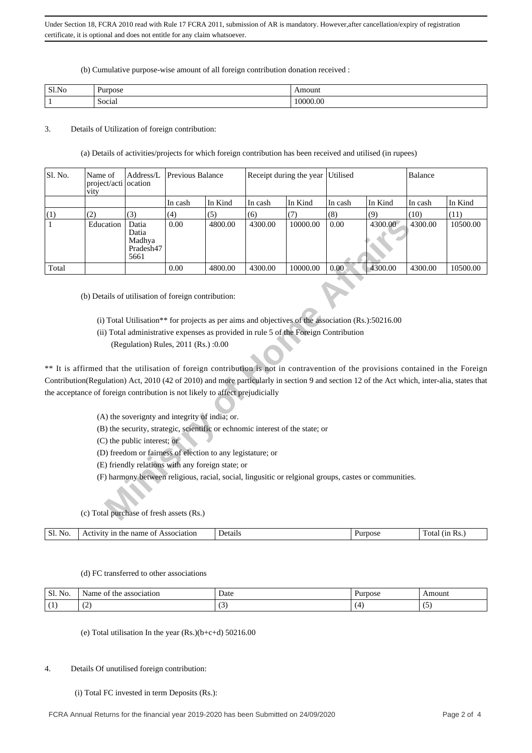#### (b) Cumulative purpose-wise amount of all foreign contribution donation received :

| Sl.No | <b>Purpose</b> | ،mount   |
|-------|----------------|----------|
|       | Social         | 10000.00 |

### 3. Details of Utilization of foreign contribution:

(a) Details of activities/projects for which foreign contribution has been received and utilised (in rupees)

| Sl. No. | Name of<br>project/acti ocation<br>vity                                                                                                                                                                                                                                                                                                                                                                                 | Address/L                                      | Previous Balance |                                                            |         | Receipt during the year                                                                                                                                                                      | Utilised |         | Balance |          |
|---------|-------------------------------------------------------------------------------------------------------------------------------------------------------------------------------------------------------------------------------------------------------------------------------------------------------------------------------------------------------------------------------------------------------------------------|------------------------------------------------|------------------|------------------------------------------------------------|---------|----------------------------------------------------------------------------------------------------------------------------------------------------------------------------------------------|----------|---------|---------|----------|
|         |                                                                                                                                                                                                                                                                                                                                                                                                                         |                                                | In cash          | In Kind                                                    | In cash | In Kind                                                                                                                                                                                      | In cash  | In Kind | In cash | In Kind  |
| (1)     | (2)                                                                                                                                                                                                                                                                                                                                                                                                                     | (3)                                            | (4)              | (5)                                                        | (6)     | (7)                                                                                                                                                                                          | (8)      | (9)     | (10)    | (11)     |
| 1       | Education                                                                                                                                                                                                                                                                                                                                                                                                               | Datia<br>Datia<br>Madhya<br>Pradesh47<br>5661  | 0.00             | 4800.00                                                    | 4300.00 | 10000.00                                                                                                                                                                                     | 0.00     | 4300.00 | 4300.00 | 10500.00 |
| Total   |                                                                                                                                                                                                                                                                                                                                                                                                                         |                                                | 0.00             | 4800.00                                                    | 4300.00 | 10000.00                                                                                                                                                                                     | 0.00     | 4300.00 | 4300.00 | 10500.00 |
|         | (b) Details of utilisation of foreign contribution:<br>** It is affirmed that the utilisation of foreign contribution is not in contravention of the provisions contained in the Foreign<br>Contribution(Regulation) Act, 2010 (42 of 2010) and more particularly in section 9 and section 12 of the Act which, inter-alia, states that<br>the acceptance of foreign contribution is not likely to affect prejudicially | (Regulation) Rules, 2011 (Rs.) :0.00           |                  |                                                            |         | (i) Total Utilisation** for projects as per aims and objectives of the association $(Rs.)$ :50216.00<br>(ii) Total administrative expenses as provided in rule 5 of the Foreign Contribution |          |         |         |          |
|         |                                                                                                                                                                                                                                                                                                                                                                                                                         |                                                |                  |                                                            |         |                                                                                                                                                                                              |          |         |         |          |
|         |                                                                                                                                                                                                                                                                                                                                                                                                                         | (A) the soverignty and integrity of india; or. |                  |                                                            |         |                                                                                                                                                                                              |          |         |         |          |
|         |                                                                                                                                                                                                                                                                                                                                                                                                                         |                                                |                  |                                                            |         | (B) the security, strategic, scientific or echnomic interest of the state; or                                                                                                                |          |         |         |          |
|         |                                                                                                                                                                                                                                                                                                                                                                                                                         | (C) the public interest; or                    |                  |                                                            |         |                                                                                                                                                                                              |          |         |         |          |
|         |                                                                                                                                                                                                                                                                                                                                                                                                                         |                                                |                  | (D) freedom or fairness of election to any legistature; or |         |                                                                                                                                                                                              |          |         |         |          |
|         |                                                                                                                                                                                                                                                                                                                                                                                                                         |                                                |                  | (E) friendly relations with any foreign state; or          |         |                                                                                                                                                                                              |          |         |         |          |
|         | (c) Total purchase of fresh assets (Rs.)                                                                                                                                                                                                                                                                                                                                                                                |                                                |                  |                                                            |         | (F) harmony between religious, racial, social, lingusitic or relgional groups, castes or communities.                                                                                        |          |         |         |          |
|         |                                                                                                                                                                                                                                                                                                                                                                                                                         |                                                |                  |                                                            |         |                                                                                                                                                                                              |          |         |         |          |

- (ii) Total administrative expenses as provided in rule 5 of the Foreign Contribution
	- (Regulation) Rules, 2011 (Rs.) :0.00

## (c) Total purchase of fresh assets (Rs.)

|  |  | Sl.<br>No. | name<br>Association<br>the<br> V1tV<br>$\Delta$ $\alpha$ $\beta$<br>ാ f<br>◝ | Details | Purpose | - Rs.<br>`otai |
|--|--|------------|------------------------------------------------------------------------------|---------|---------|----------------|
|--|--|------------|------------------------------------------------------------------------------|---------|---------|----------------|

### (d) FC transferred to other associations

| $\sim$<br>C1<br>No.<br>ىلەت | association<br>che<br>lame | Date<br>. | rnose        | Amount   |
|-----------------------------|----------------------------|-----------|--------------|----------|
|                             | $\sim$<br>∼                |           | $\mathbf{4}$ | . .<br>ັ |

(e) Total utilisation In the year (Rs.)(b+c+d) 50216.00

### 4. Details Of unutilised foreign contribution:

### (i) Total FC invested in term Deposits (Rs.):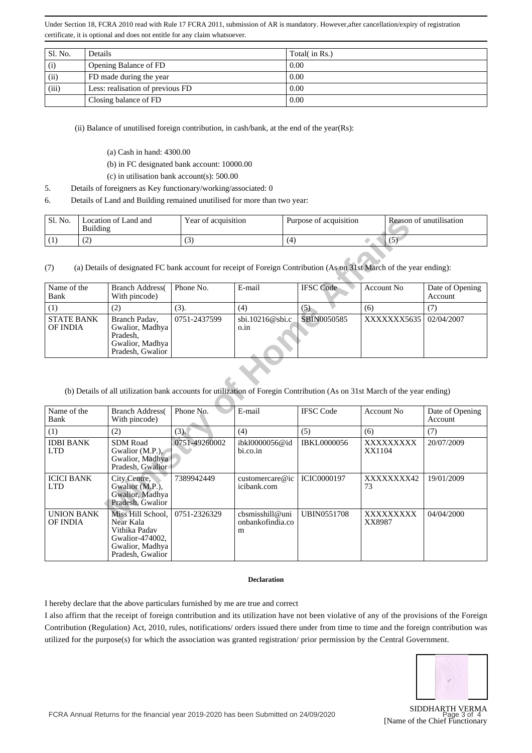| Sl. No. | <b>Details</b>                   | Total( in Rs.) |
|---------|----------------------------------|----------------|
| (i)     | Opening Balance of FD            | 0.00           |
| (ii)    | FD made during the year          | 0.00           |
| (iii)   | Less: realisation of previous FD | 0.00           |
|         | Closing balance of FD            | 0.00           |

(ii) Balance of unutilised foreign contribution, in cash/bank, at the end of the year(Rs):

- (a) Cash in hand: 4300.00
- (b) in FC designated bank account: 10000.00
- (c) in utilisation bank account(s): 500.00
- 5. Details of foreigners as Key functionary/working/associated: 0
- 6. Details of Land and Building remained unutilised for more than two year:

| ' Sl. No. | Location of Land and<br>Building | Year of acquisition    | Purpose of acquisition | Reason of unutilisation |
|-----------|----------------------------------|------------------------|------------------------|-------------------------|
|           | $\sqrt{2}$<br>. <u>. .</u>       | $\sqrt{2}$<br><b>、</b> | (4)                    | $\sim$                  |

| Name of the<br>Bank           | <b>Branch Address</b><br>With pincode)                                                  | Phone No.    | E-mail                                 | <b>IFSC</b> Code | Account No               | Date of Opening<br>Account |
|-------------------------------|-----------------------------------------------------------------------------------------|--------------|----------------------------------------|------------------|--------------------------|----------------------------|
|                               | (2)                                                                                     | (3).         | (4)                                    | $\mathcal{L}$    | (6)                      |                            |
| <b>STATE BANK</b><br>OF INDIA | Branch Padav,<br>Gwalior, Madhya  <br>Pradesh,<br>Gwalior, Madhya  <br>Pradesh, Gwalior | 0751-2437599 | $\dot{\text{b}}$ i.10216@sbi.c<br>0.1n | SBIN0050585      | XXXXXXX5635   02/04/2007 |                            |

### (b) Details of all utilization bank accounts for utilization of Foregin Contribution (As on 31st March of the year ending)

| Sl. No.                              | Location of Land and<br><b>Building</b> |                                                                                                           |               | Year of acquisition<br>Purpose of acquisition |                                                                                                                                                |                     | Reason of unutilisation    |  |
|--------------------------------------|-----------------------------------------|-----------------------------------------------------------------------------------------------------------|---------------|-----------------------------------------------|------------------------------------------------------------------------------------------------------------------------------------------------|---------------------|----------------------------|--|
| (1)                                  | (2)                                     |                                                                                                           | (3)           | (4)                                           |                                                                                                                                                | (5)                 |                            |  |
| (7)                                  |                                         |                                                                                                           |               |                                               | (a) Details of designated FC bank account for receipt of Foreign Contribution (As on 31st March of the year ending):                           |                     |                            |  |
| Name of the<br>Bank                  |                                         | <b>Branch Address</b><br>With pincode)                                                                    | Phone No.     | E-mail                                        | <b>IFSC</b> Code                                                                                                                               | <b>Account No</b>   | Date of Opening<br>Account |  |
| (1)                                  |                                         | (2)                                                                                                       | (3).          | (4)                                           | (5)                                                                                                                                            | (6)                 | (7)                        |  |
| <b>STATE BANK</b><br>OF INDIA        |                                         | Branch Padav,<br>Gwalior, Madhya<br>Pradesh,<br>Gwalior, Madhya<br>Pradesh, Gwalior                       | 0751-2437599  | sbi.10216@sbi.c<br>o.in                       | SBIN0050585                                                                                                                                    | XXXXXXX5635         | 02/04/2007                 |  |
| Name of the<br>Bank                  |                                         | <b>Branch Address</b><br>With pincode)                                                                    | Phone No.     | E-mail                                        | (b) Details of all utilization bank accounts for utilization of Foregin Contribution (As on 31st March of the year ending)<br><b>IFSC Code</b> | Account No          | Date of Opening<br>Account |  |
| (1)                                  |                                         | (2)                                                                                                       | (3).          | (4)                                           | (5)                                                                                                                                            | (6)                 | (7)                        |  |
| <b>IDBI BANK</b><br><b>LTD</b>       |                                         | <b>SDM Road</b><br>Gwalior (M.P.),<br>Gwalior, Madhya<br>Pradesh, Gwalior                                 | 0751-49260002 | ibkl0000056@id<br>bi.co.in                    | <b>IBKL0000056</b>                                                                                                                             | XXXXXXXXX<br>XX1104 | 20/07/2009                 |  |
| <b>ICICI BANK</b><br><b>LTD</b>      |                                         | City Centre,<br>Gwalior (M.P.).<br>Gwalior, Madhya<br>Pradesh, Gwalior                                    | 7389942449    | customercare@ic<br>icibank.com                | ICIC0000197                                                                                                                                    | XXXXXXX42<br>73     | 19/01/2009                 |  |
| <b>UNION BANK</b><br><b>OF INDIA</b> |                                         | Miss Hill School,<br>Near Kala<br>Vithika Padav<br>Gwalior-474002,<br>Gwalior, Madhya<br>Pradesh, Gwalior | 0751-2326329  | cbsmisshill@uni<br>onbankofindia.co<br>m      | <b>UBIN0551708</b>                                                                                                                             | XXXXXXXXX<br>XX8987 | 04/04/2000                 |  |

#### **Declaration**

I hereby declare that the above particulars furnished by me are true and correct

I also affirm that the receipt of foreign contribution and its utilization have not been violative of any of the provisions of the Foreign Contribution (Regulation) Act, 2010, rules, notifications/ orders issued there under from time to time and the foreign contribution was utilized for the purpose(s) for which the association was granted registration/ prior permission by the Central Government.



SIDDHARTH VERMA [Name of the Chief Functionary 4